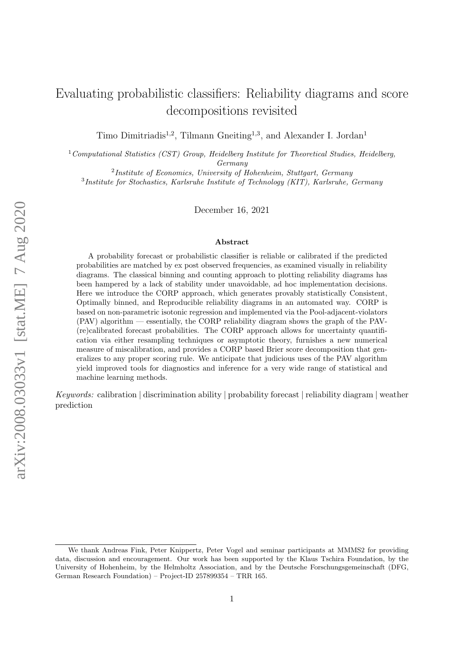# Evaluating probabilistic classifiers: Reliability diagrams and score decompositions revisited

Timo Dimitriadis<sup>1,2</sup>, Tilmann Gneiting<sup>1,3</sup>, and Alexander I. Jordan<sup>1</sup>

 $1$ Computational Statistics (CST) Group, Heidelberg Institute for Theoretical Studies, Heidelberg, Germany

<sup>2</sup>Institute of Economics, University of Hohenheim, Stuttgart, Germany

<sup>3</sup>Institute for Stochastics, Karlsruhe Institute of Technology (KIT), Karlsruhe, Germany

December 16, 2021

#### Abstract

A probability forecast or probabilistic classifier is reliable or calibrated if the predicted probabilities are matched by ex post observed frequencies, as examined visually in reliability diagrams. The classical binning and counting approach to plotting reliability diagrams has been hampered by a lack of stability under unavoidable, ad hoc implementation decisions. Here we introduce the CORP approach, which generates provably statistically Consistent, Optimally binned, and Reproducible reliability diagrams in an automated way. CORP is based on non-parametric isotonic regression and implemented via the Pool-adjacent-violators (PAV) algorithm — essentially, the CORP reliability diagram shows the graph of the PAV- (re)calibrated forecast probabilities. The CORP approach allows for uncertainty quantification via either resampling techniques or asymptotic theory, furnishes a new numerical measure of miscalibration, and provides a CORP based Brier score decomposition that generalizes to any proper scoring rule. We anticipate that judicious uses of the PAV algorithm yield improved tools for diagnostics and inference for a very wide range of statistical and machine learning methods.

Keywords: calibration | discrimination ability | probability forecast | reliability diagram | weather prediction

We thank Andreas Fink, Peter Knippertz, Peter Vogel and seminar participants at MMMS2 for providing data, discussion and encouragement. Our work has been supported by the Klaus Tschira Foundation, by the University of Hohenheim, by the Helmholtz Association, and by the Deutsche Forschungsgemeinschaft (DFG, German Research Foundation) – Project-ID 257899354 – TRR 165.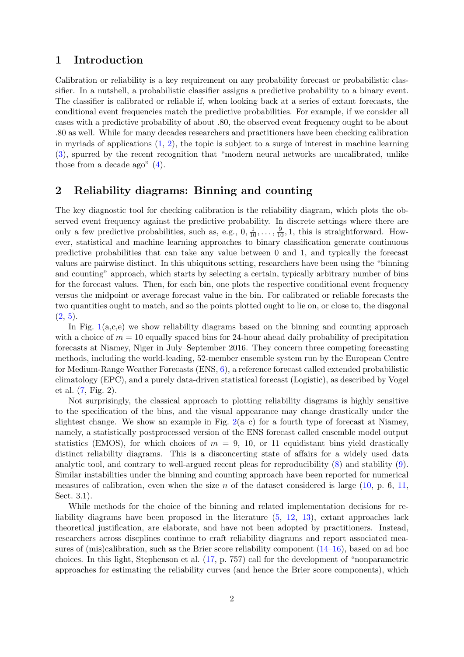#### 1 Introduction

Calibration or reliability is a key requirement on any probability forecast or probabilistic classifier. In a nutshell, a probabilistic classifier assigns a predictive probability to a binary event. The classifier is calibrated or reliable if, when looking back at a series of extant forecasts, the conditional event frequencies match the predictive probabilities. For example, if we consider all cases with a predictive probability of about .80, the observed event frequency ought to be about .80 as well. While for many decades researchers and practitioners have been checking calibration in myriads of applications  $(1, 2)$  $(1, 2)$  $(1, 2)$ , the topic is subject to a surge of interest in machine learning [\(3\)](#page-13-2), spurred by the recent recognition that "modern neural networks are uncalibrated, unlike those from a decade ago" [\(4\)](#page-13-3).

#### 2 Reliability diagrams: Binning and counting

The key diagnostic tool for checking calibration is the reliability diagram, which plots the observed event frequency against the predictive probability. In discrete settings where there are only a few predictive probabilities, such as, e.g.,  $0, \frac{1}{10}, \ldots, \frac{9}{10}, 1$ , this is straightforward. However, statistical and machine learning approaches to binary classification generate continuous predictive probabilities that can take any value between 0 and 1, and typically the forecast values are pairwise distinct. In this ubiquitous setting, researchers have been using the "binning and counting" approach, which starts by selecting a certain, typically arbitrary number of bins for the forecast values. Then, for each bin, one plots the respective conditional event frequency versus the midpoint or average forecast value in the bin. For calibrated or reliable forecasts the two quantities ought to match, and so the points plotted ought to lie on, or close to, the diagonal  $(2, 5)$  $(2, 5)$  $(2, 5)$ .

In Fig.  $1(a,c,e)$  $1(a,c,e)$  we show reliability diagrams based on the binning and counting approach with a choice of  $m = 10$  equally spaced bins for 24-hour ahead daily probability of precipitation forecasts at Niamey, Niger in July–September 2016. They concern three competing forecasting methods, including the world-leading, 52-member ensemble system run by the European Centre for Medium-Range Weather Forecasts (ENS, [6\)](#page-13-5), a reference forecast called extended probabilistic climatology (EPC), and a purely data-driven statistical forecast (Logistic), as described by Vogel et al. [\(7,](#page-13-6) Fig. 2).

Not surprisingly, the classical approach to plotting reliability diagrams is highly sensitive to the specification of the bins, and the visual appearance may change drastically under the slightest change. We show an example in Fig.  $2(a-c)$  $2(a-c)$  for a fourth type of forecast at Niamey, namely, a statistically postprocessed version of the ENS forecast called ensemble model output statistics (EMOS), for which choices of  $m = 9$ , 10, or 11 equidistant bins yield drastically distinct reliability diagrams. This is a disconcerting state of affairs for a widely used data analytic tool, and contrary to well-argued recent pleas for reproducibility [\(8\)](#page-13-7) and stability [\(9\)](#page-13-8). Similar instabilities under the binning and counting approach have been reported for numerical measures of calibration, even when the size n of the dataset considered is large  $(10, p. 6, 11,$  $(10, p. 6, 11,$  $(10, p. 6, 11,$ Sect. 3.1).

While methods for the choice of the binning and related implementation decisions for reliability diagrams have been proposed in the literature [\(5,](#page-13-4) [12,](#page-14-1) [13\)](#page-14-2), extant approaches lack theoretical justification, are elaborate, and have not been adopted by practitioners. Instead, researchers across discplines continue to craft reliability diagrams and report associated measures of (mis)calibration, such as the Brier score reliability component [\(14–](#page-14-3)[16\)](#page-14-4), based on ad hoc choices. In this light, Stephenson et al. [\(17,](#page-14-5) p. 757) call for the development of "nonparametric approaches for estimating the reliability curves (and hence the Brier score components), which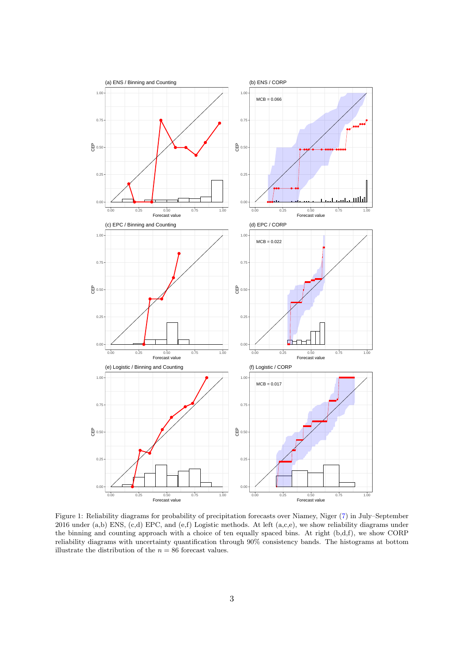<span id="page-2-0"></span>

Figure 1: Reliability diagrams for probability of precipitation forecasts over Niamey, Niger [\(7\)](#page-13-6) in July–September 2016 under (a,b) ENS, (c,d) EPC, and (e,f) Logistic methods. At left (a,c,e), we show reliability diagrams under the binning and counting approach with a choice of ten equally spaced bins. At right (b,d,f), we show CORP reliability diagrams with uncertainty quantification through 90% consistency bands. The histograms at bottom illustrate the distribution of the  $n = 86$  forecast values.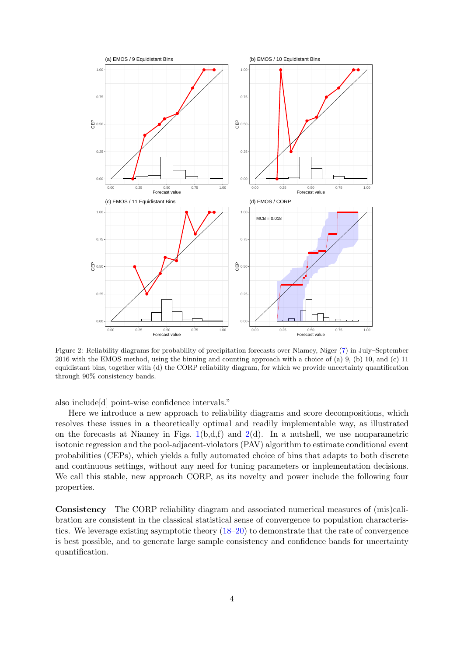<span id="page-3-0"></span>

Figure 2: Reliability diagrams for probability of precipitation forecasts over Niamey, Niger [\(7\)](#page-13-6) in July–September 2016 with the EMOS method, using the binning and counting approach with a choice of (a) 9, (b) 10, and (c) 11 equidistant bins, together with (d) the CORP reliability diagram, for which we provide uncertainty quantification through 90% consistency bands.

also include[d] point-wise confidence intervals."

Here we introduce a new approach to reliability diagrams and score decompositions, which resolves these issues in a theoretically optimal and readily implementable way, as illustrated on the forecasts at Niamey in Figs.  $1(b,d,f)$  $1(b,d,f)$  and  $2(d)$  $2(d)$ . In a nutshell, we use nonparametric isotonic regression and the pool-adjacent-violators (PAV) algorithm to estimate conditional event probabilities (CEPs), which yields a fully automated choice of bins that adapts to both discrete and continuous settings, without any need for tuning parameters or implementation decisions. We call this stable, new approach CORP, as its novelty and power include the following four properties.

Consistency The CORP reliability diagram and associated numerical measures of (mis)calibration are consistent in the classical statistical sense of convergence to population characteristics. We leverage existing asymptotic theory [\(18–](#page-14-6)[20\)](#page-14-7) to demonstrate that the rate of convergence is best possible, and to generate large sample consistency and confidence bands for uncertainty quantification.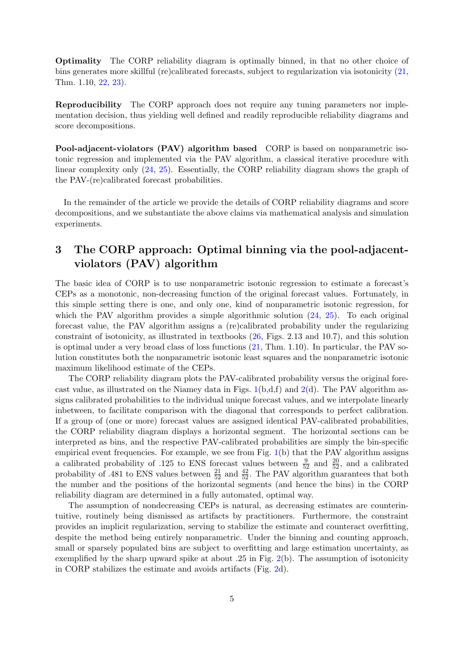Optimality The CORP reliability diagram is optimally binned, in that no other choice of bins generates more skillful (re)calibrated forecasts, subject to regularization via isotonicity [\(21,](#page-14-8) Thm. 1.10, [22,](#page-14-9) [23\)](#page-14-10).

Reproducibility The CORP approach does not require any tuning parameters nor implementation decision, thus yielding well defined and readily reproducible reliability diagrams and score decompositions.

Pool-adjacent-violators (PAV) algorithm based CORP is based on nonparametric isotonic regression and implemented via the PAV algorithm, a classical iterative procedure with linear complexity only [\(24,](#page-14-11) [25\)](#page-14-12). Essentially, the CORP reliability diagram shows the graph of the PAV-(re)calibrated forecast probabilities.

In the remainder of the article we provide the details of CORP reliability diagrams and score decompositions, and we substantiate the above claims via mathematical analysis and simulation experiments.

## 3 The CORP approach: Optimal binning via the pool-adjacentviolators (PAV) algorithm

The basic idea of CORP is to use nonparametric isotonic regression to estimate a forecast's CEPs as a monotonic, non-decreasing function of the original forecast values. Fortunately, in this simple setting there is one, and only one, kind of nonparametric isotonic regression, for which the PAV algorithm provides a simple algorithmic solution  $(24, 25)$  $(24, 25)$  $(24, 25)$ . To each original forecast value, the PAV algorithm assigns a (re)calibrated probability under the regularizing constraint of isotonicity, as illustrated in textbooks [\(26,](#page-14-13) Figs. 2.13 and 10.7), and this solution is optimal under a very broad class of loss functions [\(21,](#page-14-8) Thm. 1.10). In particular, the PAV solution constitutes both the nonparametric isotonic least squares and the nonparametric isotonic maximum likelihood estimate of the CEPs.

The CORP reliability diagram plots the PAV-calibrated probability versus the original forecast value, as illustrated on the Niamey data in Figs.  $1(b.d.f)$  $1(b.d.f)$  and  $2(d)$  $2(d)$ . The PAV algorithm assigns calibrated probabilities to the individual unique forecast values, and we interpolate linearly inbetween, to facilitate comparison with the diagonal that corresponds to perfect calibration. If a group of (one or more) forecast values are assigned identical PAV-calibrated probabilities, the CORP reliability diagram displays a horizontal segment. The horizontal sections can be interpreted as bins, and the respective PAV-calibrated probabilities are simply the bin-specific empirical event frequencies. For example, we see from Fig. [1\(](#page-2-0)b) that the PAV algorithm assigns a calibrated probability of .125 to ENS forecast values between  $\frac{9}{52}$  and  $\frac{20}{52}$ , and a calibrated probability of .481 to ENS values between  $\frac{21}{52}$  and  $\frac{42}{52}$ . The PAV algorithm guarantees that both the number and the positions of the horizontal segments (and hence the bins) in the CORP reliability diagram are determined in a fully automated, optimal way.

The assumption of nondecreasing CEPs is natural, as decreasing estimates are counterintuitive, routinely being dismissed as artifacts by practitioners. Furthermore, the constraint provides an implicit regularization, serving to stabilize the estimate and counteract overfitting, despite the method being entirely nonparametric. Under the binning and counting approach, small or sparsely populated bins are subject to overfitting and large estimation uncertainty, as exemplified by the sharp upward spike at about .25 in Fig. [2\(](#page-3-0)b). The assumption of isotonicity in CORP stabilizes the estimate and avoids artifacts (Fig. [2d](#page-3-0)).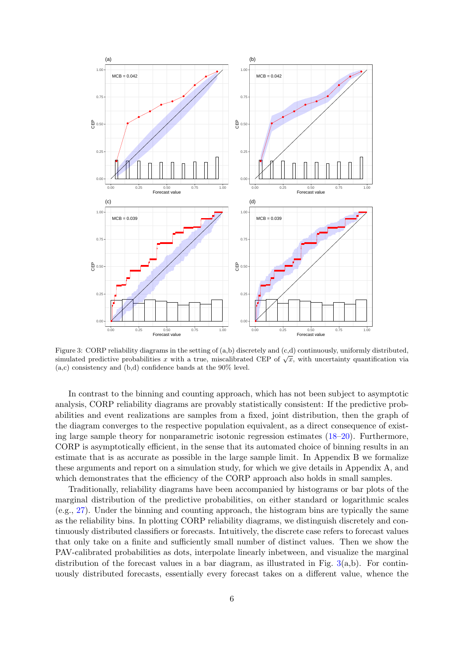<span id="page-5-0"></span>

Figure 3: CORP reliability diagrams in the setting of (a,b) discretely and (c,d) continuously, uniformly distributed, Figure 3. CONF renability diagrams in the setting of (a,b) discretely and (c,d) continuously, unnormly distributed, simulated predictive probabilities x with a true, miscalibrated CEP of  $\sqrt{x}$ , with uncertainty quantific (a,c) consistency and (b,d) confidence bands at the 90% level.

In contrast to the binning and counting approach, which has not been subject to asymptotic analysis, CORP reliability diagrams are provably statistically consistent: If the predictive probabilities and event realizations are samples from a fixed, joint distribution, then the graph of the diagram converges to the respective population equivalent, as a direct consequence of existing large sample theory for nonparametric isotonic regression estimates [\(18–](#page-14-6)[20\)](#page-14-7). Furthermore, CORP is asymptotically efficient, in the sense that its automated choice of binning results in an estimate that is as accurate as possible in the large sample limit. In Appendix B we formalize these arguments and report on a simulation study, for which we give details in Appendix A, and which demonstrates that the efficiency of the CORP approach also holds in small samples.

Traditionally, reliability diagrams have been accompanied by histograms or bar plots of the marginal distribution of the predictive probabilities, on either standard or logarithmic scales (e.g., [27\)](#page-14-14). Under the binning and counting approach, the histogram bins are typically the same as the reliability bins. In plotting CORP reliability diagrams, we distinguish discretely and continuously distributed classifiers or forecasts. Intuitively, the discrete case refers to forecast values that only take on a finite and sufficiently small number of distinct values. Then we show the PAV-calibrated probabilities as dots, interpolate linearly inbetween, and visualize the marginal distribution of the forecast values in a bar diagram, as illustrated in Fig.  $3(a,b)$  $3(a,b)$ . For continuously distributed forecasts, essentially every forecast takes on a different value, whence the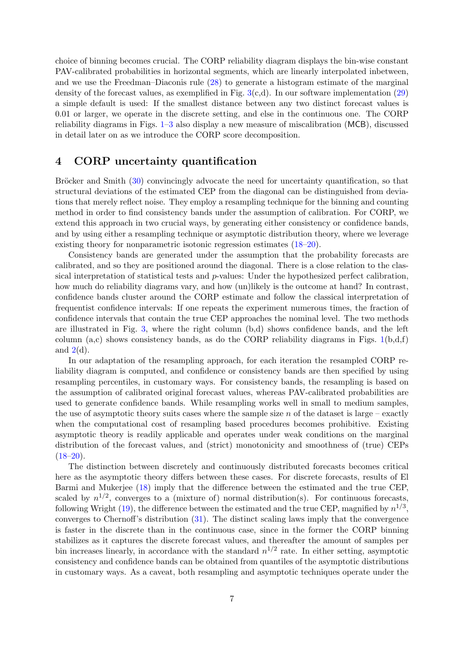choice of binning becomes crucial. The CORP reliability diagram displays the bin-wise constant PAV-calibrated probabilities in horizontal segments, which are linearly interpolated inbetween, and we use the Freedman–Diaconis rule [\(28\)](#page-14-15) to generate a histogram estimate of the marginal density of the forecast values, as exemplified in Fig.  $3(c,d)$  $3(c,d)$ . In our software implementation [\(29\)](#page-14-16) a simple default is used: If the smallest distance between any two distinct forecast values is 0.01 or larger, we operate in the discrete setting, and else in the continuous one. The CORP reliability diagrams in Figs. [1–](#page-2-0)[3](#page-5-0) also display a new measure of miscalibration (MCB), discussed in detail later on as we introduce the CORP score decomposition.

### 4 CORP uncertainty quantification

Bröcker and Smith [\(30\)](#page-14-17) convincingly advocate the need for uncertainty quantification, so that structural deviations of the estimated CEP from the diagonal can be distinguished from deviations that merely reflect noise. They employ a resampling technique for the binning and counting method in order to find consistency bands under the assumption of calibration. For CORP, we extend this approach in two crucial ways, by generating either consistency or confidence bands, and by using either a resampling technique or asymptotic distribution theory, where we leverage existing theory for nonparametric isotonic regression estimates [\(18–](#page-14-6)[20\)](#page-14-7).

Consistency bands are generated under the assumption that the probability forecasts are calibrated, and so they are positioned around the diagonal. There is a close relation to the classical interpretation of statistical tests and p-values: Under the hypothesized perfect calibration, how much do reliability diagrams vary, and how (un)likely is the outcome at hand? In contrast, confidence bands cluster around the CORP estimate and follow the classical interpretation of frequentist confidence intervals: If one repeats the experiment numerous times, the fraction of confidence intervals that contain the true CEP approaches the nominal level. The two methods are illustrated in Fig. [3,](#page-5-0) where the right column (b,d) shows confidence bands, and the left column (a,c) shows consistency bands, as do the CORP reliability diagrams in Figs.  $1(b,d,f)$  $1(b,d,f)$ and  $2(d)$  $2(d)$ .

In our adaptation of the resampling approach, for each iteration the resampled CORP reliability diagram is computed, and confidence or consistency bands are then specified by using resampling percentiles, in customary ways. For consistency bands, the resampling is based on the assumption of calibrated original forecast values, whereas PAV-calibrated probabilities are used to generate confidence bands. While resampling works well in small to medium samples, the use of asymptotic theory suits cases where the sample size n of the dataset is large – exactly when the computational cost of resampling based procedures becomes prohibitive. Existing asymptotic theory is readily applicable and operates under weak conditions on the marginal distribution of the forecast values, and (strict) monotonicity and smoothness of (true) CEPs  $(18–20)$  $(18–20)$ .

The distinction between discretely and continuously distributed forecasts becomes critical here as the asymptotic theory differs between these cases. For discrete forecasts, results of El Barmi and Mukerjee [\(18\)](#page-14-6) imply that the difference between the estimated and the true CEP, scaled by  $n^{1/2}$ , converges to a (mixture of) normal distribution(s). For continuous forecasts, following Wright [\(19\)](#page-14-18), the difference between the estimated and the true CEP, magnified by  $n^{1/3}$ , converges to Chernoff's distribution [\(31\)](#page-14-19). The distinct scaling laws imply that the convergence is faster in the discrete than in the continuous case, since in the former the CORP binning stabilizes as it captures the discrete forecast values, and thereafter the amount of samples per bin increases linearly, in accordance with the standard  $n^{1/2}$  rate. In either setting, asymptotic consistency and confidence bands can be obtained from quantiles of the asymptotic distributions in customary ways. As a caveat, both resampling and asymptotic techniques operate under the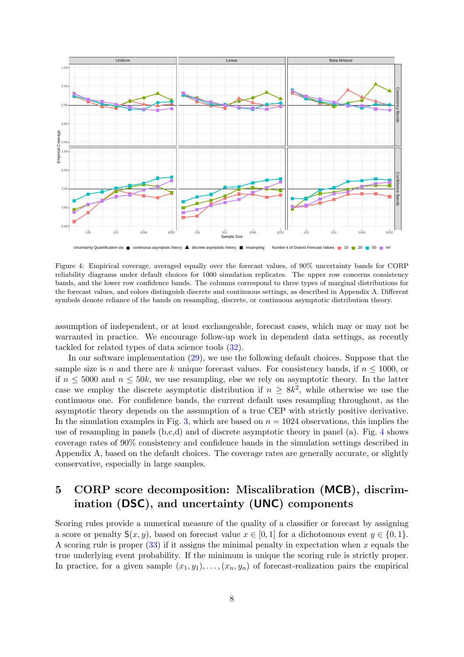<span id="page-7-0"></span>

Figure 4: Empirical coverage, averaged equally over the forecast values, of 90% uncertainty bands for CORP reliability diagrams under default choices for 1000 simulation replicates. The upper row concerns consistency bands, and the lower row confidence bands. The columns correspond to three types of marginal distributions for the forecast values, and colors distinguish discrete and continuous settings, as described in Appendix A. Different symbols denote reliance of the bands on resampling, discrete, or continuous asymptotic distribution theory.

assumption of independent, or at least exchangeable, forecast cases, which may or may not be warranted in practice. We encourage follow-up work in dependent data settings, as recently tackled for related types of data science tools [\(32\)](#page-15-0).

In our software implementation [\(29\)](#page-14-16), we use the following default choices. Suppose that the sample size is n and there are k unique forecast values. For consistency bands, if  $n \le 1000$ , or if  $n \leq 5000$  and  $n \leq 50k$ , we use resampling, else we rely on asymptotic theory. In the latter case we employ the discrete asymptotic distribution if  $n \geq 8k^2$ , while otherwise we use the continuous one. For confidence bands, the current default uses resampling throughout, as the asymptotic theory depends on the assumption of a true CEP with strictly positive derivative. In the simulation examples in Fig. [3,](#page-5-0) which are based on  $n = 1024$  observations, this implies the use of resampling in panels (b,c,d) and of discrete asymptotic theory in panel (a). Fig. [4](#page-7-0) shows coverage rates of 90% consistency and confidence bands in the simulation settings described in Appendix A, based on the default choices. The coverage rates are generally accurate, or slightly conservative, especially in large samples.

## 5 CORP score decomposition: Miscalibration (MCB), discrimination (DSC), and uncertainty (UNC) components

Scoring rules provide a numerical measure of the quality of a classifier or forecast by assigning a score or penalty  $S(x, y)$ , based on forecast value  $x \in [0, 1]$  for a dichotomous event  $y \in \{0, 1\}$ . A scoring rule is proper  $(33)$  if it assigns the minimal penalty in expectation when x equals the true underlying event probability. If the minimum is unique the scoring rule is strictly proper. In practice, for a given sample  $(x_1, y_1), \ldots, (x_n, y_n)$  of forecast-realization pairs the empirical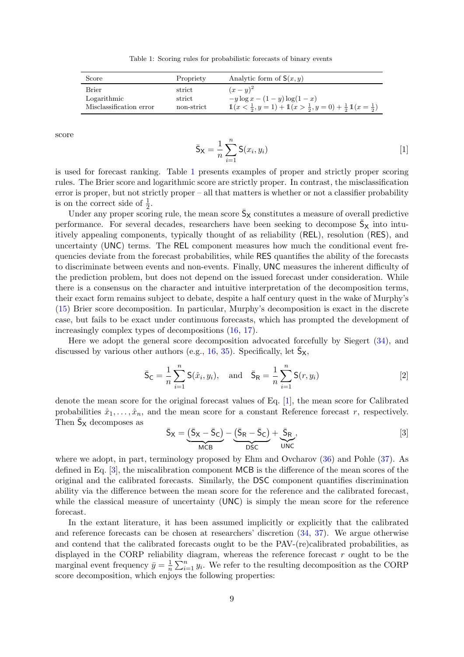Table 1: Scoring rules for probabilistic forecasts of binary events

<span id="page-8-0"></span>

| Score                   | Propriety  | Analytic form of $S(x, y)$                                                              |
|-------------------------|------------|-----------------------------------------------------------------------------------------|
| <b>Brier</b>            | strict     | $(x-y)^2$                                                                               |
| Logarithmic             | strict     | $-y \log x - (1 - y) \log(1 - x)$                                                       |
| Misclassification error | non-strict | $1(x < \frac{1}{2}, y = 1) + 1(x > \frac{1}{2}, y = 0) + \frac{1}{2}1(x = \frac{1}{2})$ |

<span id="page-8-1"></span>score

$$
\bar{S}_{X} = \frac{1}{n} \sum_{i=1}^{n} S(x_i, y_i)
$$
 [1]

is used for forecast ranking. Table [1](#page-8-0) presents examples of proper and strictly proper scoring rules. The Brier score and logarithmic score are strictly proper. In contrast, the misclassification error is proper, but not strictly proper – all that matters is whether or not a classifier probability is on the correct side of  $\frac{1}{2}$ .

Under any proper scoring rule, the mean score  $\bar{S}_{X}$  constitutes a measure of overall predictive performance. For several decades, researchers have been seeking to decompose  $\bar{S}_X$  into intuitively appealing components, typically thought of as reliability (REL), resolution (RES), and uncertainty (UNC) terms. The REL component measures how much the conditional event frequencies deviate from the forecast probabilities, while RES quantifies the ability of the forecasts to discriminate between events and non-events. Finally, UNC measures the inherent difficulty of the prediction problem, but does not depend on the issued forecast under consideration. While there is a consensus on the character and intuitive interpretation of the decomposition terms, their exact form remains subject to debate, despite a half century quest in the wake of Murphy's [\(15\)](#page-14-20) Brier score decomposition. In particular, Murphy's decomposition is exact in the discrete case, but fails to be exact under continuous forecasts, which has prompted the development of increasingly complex types of decompositions [\(16,](#page-14-4) [17\)](#page-14-5).

Here we adopt the general score decomposition advocated forcefully by Siegert [\(34\)](#page-15-2), and discussed by various other authors (e.g., [16,](#page-14-4) [35\)](#page-15-3). Specifically, let  $\bar{S}_X$ ,

$$
\bar{S}_{\mathsf{C}} = \frac{1}{n} \sum_{i=1}^{n} \mathsf{S}(\hat{x}_i, y_i), \text{ and } \bar{S}_{\mathsf{R}} = \frac{1}{n} \sum_{i=1}^{n} \mathsf{S}(r, y_i)
$$
\n[2]

denote the mean score for the original forecast values of Eq. [\[1\]](#page-8-1), the mean score for Calibrated probabilities  $\hat{x}_1, \ldots, \hat{x}_n$ , and the mean score for a constant Reference forecast r, respectively. Then  $\bar{\mathsf{S}}_\mathsf{X}$  decomposes as

<span id="page-8-3"></span><span id="page-8-2"></span>
$$
\bar{S}_X = \underbrace{(\bar{S}_X - \bar{S}_C)}_{MCB} - \underbrace{(\bar{S}_R - \bar{S}_C)}_{DSC} + \underbrace{\bar{S}_R}_{UNC},
$$
\n[3]

where we adopt, in part, terminology proposed by Ehm and Ovcharov [\(36\)](#page-15-4) and Pohle [\(37\)](#page-15-5). As defined in Eq. [\[3\]](#page-8-2), the miscalibration component MCB is the difference of the mean scores of the original and the calibrated forecasts. Similarly, the DSC component quantifies discrimination ability via the difference between the mean score for the reference and the calibrated forecast, while the classical measure of uncertainty (UNC) is simply the mean score for the reference forecast.

In the extant literature, it has been assumed implicitly or explicitly that the calibrated and reference forecasts can be chosen at researchers' discretion [\(34,](#page-15-2) [37\)](#page-15-5). We argue otherwise and contend that the calibrated forecasts ought to be the PAV-(re)calibrated probabilities, as displayed in the CORP reliability diagram, whereas the reference forecast  $r$  ought to be the marginal event frequency  $\bar{y} = \frac{1}{n}$  $\frac{1}{n} \sum_{i=1}^{n} y_i$ . We refer to the resulting decomposition as the CORP score decomposition, which enjoys the following properties: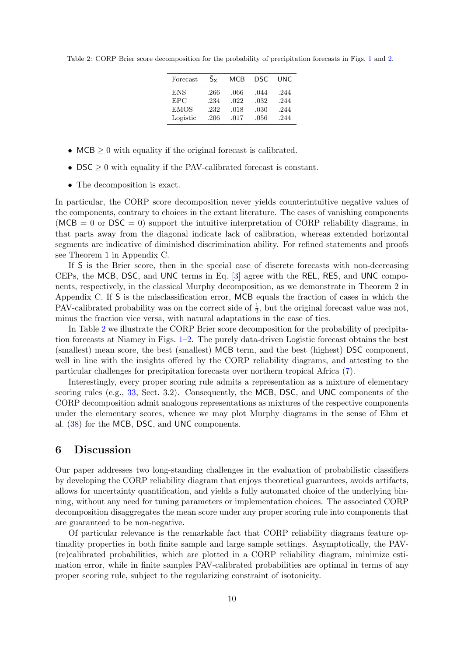<span id="page-9-0"></span>Table 2: CORP Brier score decomposition for the probability of precipitation forecasts in Figs. [1](#page-2-0) and [2.](#page-3-0)

| Forecast   | $S_{x}$ | MCB  | DSC. | UNC  |
|------------|---------|------|------|------|
| <b>ENS</b> | .266    | .066 | .044 | .244 |
| <b>EPC</b> | .234    | .022 | .032 | .244 |
| EMOS       | .232    | .018 | .030 | .244 |
| Logistic   | .206    | .017 | .056 | .244 |

- MCB  $\geq 0$  with equality if the original forecast is calibrated.
- DSC  $\geq 0$  with equality if the PAV-calibrated forecast is constant.
- The decomposition is exact.

In particular, the CORP score decomposition never yields counterintuitive negative values of the components, contrary to choices in the extant literature. The cases of vanishing components ( $MCB = 0$  or  $DSC = 0$ ) support the intuitive interpretation of CORP reliability diagrams, in that parts away from the diagonal indicate lack of calibration, whereas extended horizontal segments are indicative of diminished discrimination ability. For refined statements and proofs see Theorem 1 in Appendix C.

If S is the Brier score, then in the special case of discrete forecasts with non-decreasing CEPs, the MCB, DSC, and UNC terms in Eq. [\[3\]](#page-8-2) agree with the REL, RES, and UNC components, respectively, in the classical Murphy decomposition, as we demonstrate in Theorem 2 in Appendix C. If S is the misclassification error, MCB equals the fraction of cases in which the PAV-calibrated probability was on the correct side of  $\frac{1}{2}$ , but the original forecast value was not, minus the fraction vice versa, with natural adaptations in the case of ties.

In Table [2](#page-9-0) we illustrate the CORP Brier score decomposition for the probability of precipitation forecasts at Niamey in Figs.  $1-2$ . The purely data-driven Logistic forecast obtains the best (smallest) mean score, the best (smallest) MCB term, and the best (highest) DSC component, well in line with the insights offered by the CORP reliability diagrams, and attesting to the particular challenges for precipitation forecasts over northern tropical Africa [\(7\)](#page-13-6).

Interestingly, every proper scoring rule admits a representation as a mixture of elementary scoring rules (e.g., [33,](#page-15-1) Sect. 3.2). Consequently, the MCB, DSC, and UNC components of the CORP decomposition admit analogous representations as mixtures of the respective components under the elementary scores, whence we may plot Murphy diagrams in the sense of Ehm et al. [\(38\)](#page-15-6) for the MCB, DSC, and UNC components.

#### 6 Discussion

Our paper addresses two long-standing challenges in the evaluation of probabilistic classifiers by developing the CORP reliability diagram that enjoys theoretical guarantees, avoids artifacts, allows for uncertainty quantification, and yields a fully automated choice of the underlying binning, without any need for tuning parameters or implementation choices. The associated CORP decomposition disaggregates the mean score under any proper scoring rule into components that are guaranteed to be non-negative.

Of particular relevance is the remarkable fact that CORP reliability diagrams feature optimality properties in both finite sample and large sample settings. Asymptotically, the PAV- (re)calibrated probabilities, which are plotted in a CORP reliability diagram, minimize estimation error, while in finite samples PAV-calibrated probabilities are optimal in terms of any proper scoring rule, subject to the regularizing constraint of isotonicity.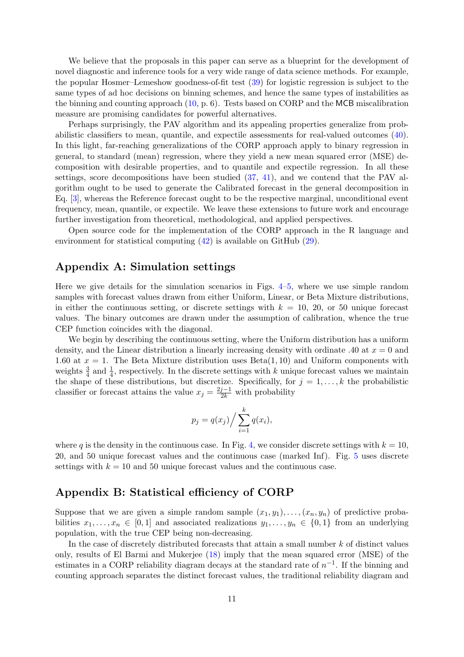We believe that the proposals in this paper can serve as a blueprint for the development of novel diagnostic and inference tools for a very wide range of data science methods. For example, the popular Hosmer–Lemeshow goodness-of-fit test [\(39\)](#page-15-7) for logistic regression is subject to the same types of ad hoc decisions on binning schemes, and hence the same types of instabilities as the binning and counting approach [\(10,](#page-13-9) p. 6). Tests based on CORP and the MCB miscalibration measure are promising candidates for powerful alternatives.

Perhaps surprisingly, the PAV algorithm and its appealing properties generalize from probabilistic classifiers to mean, quantile, and expectile assessments for real-valued outcomes [\(40\)](#page-15-8). In this light, far-reaching generalizations of the CORP approach apply to binary regression in general, to standard (mean) regression, where they yield a new mean squared error (MSE) decomposition with desirable properties, and to quantile and expectile regression. In all these settings, score decompositions have been studied [\(37,](#page-15-5) [41\)](#page-15-9), and we contend that the PAV algorithm ought to be used to generate the Calibrated forecast in the general decomposition in Eq. [\[3\]](#page-8-2), whereas the Reference forecast ought to be the respective marginal, unconditional event frequency, mean, quantile, or expectile. We leave these extensions to future work and encourage further investigation from theoretical, methodological, and applied perspectives.

Open source code for the implementation of the CORP approach in the R language and environment for statistical computing [\(42\)](#page-15-10) is available on GitHub [\(29\)](#page-14-16).

#### Appendix A: Simulation settings

Here we give details for the simulation scenarios in Figs.  $4-5$ , where we use simple random samples with forecast values drawn from either Uniform, Linear, or Beta Mixture distributions, in either the continuous setting, or discrete settings with  $k = 10, 20,$  or 50 unique forecast values. The binary outcomes are drawn under the assumption of calibration, whence the true CEP function coincides with the diagonal.

We begin by describing the continuous setting, where the Uniform distribution has a uniform density, and the Linear distribution a linearly increasing density with ordinate .40 at  $x = 0$  and 1.60 at  $x = 1$ . The Beta Mixture distribution uses  $Beta(1, 10)$  and Uniform components with weights  $\frac{3}{4}$  and  $\frac{1}{4}$ , respectively. In the discrete settings with k unique forecast values we maintain the shape of these distributions, but discretize. Specifically, for  $j = 1, \ldots, k$  the probabilistic classifier or forecast attains the value  $x_j = \frac{2j-1}{2k}$  with probability

$$
p_j = q(x_j) / \sum_{i=1}^k q(x_i),
$$

where q is the density in the continuous case. In Fig. [4,](#page-7-0) we consider discrete settings with  $k = 10$ , 20, and 50 unique forecast values and the continuous case (marked Inf). Fig. [5](#page-11-0) uses discrete settings with  $k = 10$  and 50 unique forecast values and the continuous case.

#### Appendix B: Statistical efficiency of CORP

Suppose that we are given a simple random sample  $(x_1, y_1), \ldots, (x_n, y_n)$  of predictive probabilities  $x_1, \ldots, x_n \in [0,1]$  and associated realizations  $y_1, \ldots, y_n \in \{0,1\}$  from an underlying population, with the true CEP being non-decreasing.

In the case of discretely distributed forecasts that attain a small number k of distinct values only, results of El Barmi and Mukerjee [\(18\)](#page-14-6) imply that the mean squared error (MSE) of the estimates in a CORP reliability diagram decays at the standard rate of  $n^{-1}$ . If the binning and counting approach separates the distinct forecast values, the traditional reliability diagram and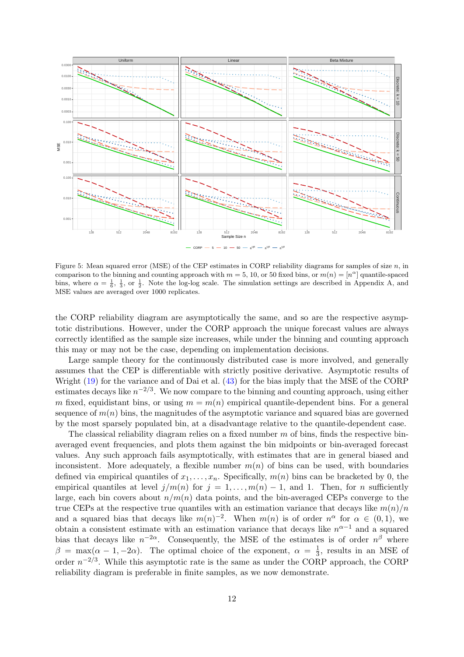<span id="page-11-0"></span>

Figure 5: Mean squared error (MSE) of the CEP estimates in CORP reliability diagrams for samples of size  $n$ , in comparison to the binning and counting approach with  $m = 5, 10$ , or 50 fixed bins, or  $m(n) = [n^{\alpha}]$  quantile-spaced bins, where  $\alpha = \frac{1}{6}, \frac{1}{3}$ , or  $\frac{1}{2}$ . Note the log-log scale. The simulation settings are described in Appendix A, and MSE values are averaged over 1000 replicates.

the CORP reliability diagram are asymptotically the same, and so are the respective asymptotic distributions. However, under the CORP approach the unique forecast values are always correctly identified as the sample size increases, while under the binning and counting approach this may or may not be the case, depending on implementation decisions.

Large sample theory for the continuously distributed case is more involved, and generally assumes that the CEP is differentiable with strictly positive derivative. Asymptotic results of Wright [\(19\)](#page-14-18) for the variance and of Dai et al. [\(43\)](#page-15-11) for the bias imply that the MSE of the CORP estimates decays like  $n^{-2/3}$ . We now compare to the binning and counting approach, using either m fixed, equidistant bins, or using  $m = m(n)$  empirical quantile-dependent bins. For a general sequence of  $m(n)$  bins, the magnitudes of the asymptotic variance and squared bias are governed by the most sparsely populated bin, at a disadvantage relative to the quantile-dependent case.

The classical reliability diagram relies on a fixed number  $m$  of bins, finds the respective binaveraged event frequencies, and plots them against the bin midpoints or bin-averaged forecast values. Any such approach fails asymptotically, with estimates that are in general biased and inconsistent. More adequately, a flexible number  $m(n)$  of bins can be used, with boundaries defined via empirical quantiles of  $x_1, \ldots, x_n$ . Specifically,  $m(n)$  bins can be bracketed by 0, the empirical quantiles at level  $j/m(n)$  for  $j = 1, \ldots, m(n) - 1$ , and 1. Then, for n sufficiently large, each bin covers about  $n/m(n)$  data points, and the bin-averaged CEPs converge to the true CEPs at the respective true quantiles with an estimation variance that decays like  $m(n)/n$ and a squared bias that decays like  $m(n)^{-2}$ . When  $m(n)$  is of order  $n^{\alpha}$  for  $\alpha \in (0,1)$ , we obtain a consistent estimate with an estimation variance that decays like  $n^{\alpha-1}$  and a squared bias that decays like  $n^{-2\alpha}$ . Consequently, the MSE of the estimates is of order  $n^{\beta}$  where  $\beta = \max(\alpha - 1, -2\alpha)$ . The optimal choice of the exponent,  $\alpha = \frac{1}{3}$  $\frac{1}{3}$ , results in an MSE of order  $n^{-2/3}$ . While this asymptotic rate is the same as under the CORP approach, the CORP reliability diagram is preferable in finite samples, as we now demonstrate.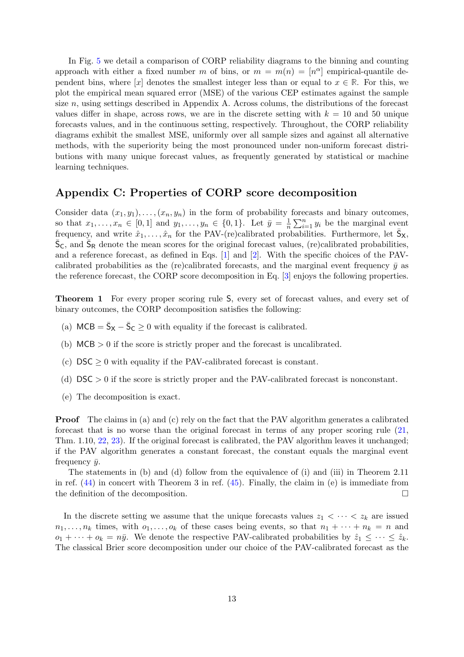In Fig. [5](#page-11-0) we detail a comparison of CORP reliability diagrams to the binning and counting approach with either a fixed number m of bins, or  $m = m(n) = [n^{\alpha}]$  empirical-quantile dependent bins, where [x] denotes the smallest integer less than or equal to  $x \in \mathbb{R}$ . For this, we plot the empirical mean squared error (MSE) of the various CEP estimates against the sample size  $n$ , using settings described in Appendix A. Across colums, the distributions of the forecast values differ in shape, across rows, we are in the discrete setting with  $k = 10$  and 50 unique forecasts values, and in the continuous setting, respectively. Throughout, the CORP reliability diagrams exhibit the smallest MSE, uniformly over all sample sizes and against all alternative methods, with the superiority being the most pronounced under non-uniform forecast distributions with many unique forecast values, as frequently generated by statistical or machine learning techniques.

#### Appendix C: Properties of CORP score decomposition

Consider data  $(x_1, y_1), \ldots, (x_n, y_n)$  in the form of probability forecasts and binary outcomes, so that  $x_1, \ldots, x_n \in [0,1]$  and  $y_1, \ldots, y_n \in \{0,1\}$ . Let  $\bar{y} = \frac{1}{n}$  $\frac{1}{n}\sum_{i=1}^n y_i$  be the marginal event frequency, and write  $\hat{x}_1, \ldots, \hat{x}_n$  for the PAV-(re)calibrated probabilities. Furthermore, let  $\bar{S}_X$ ,  $\bar{S}_{\text{C}}$ , and  $\bar{S}_{\text{R}}$  denote the mean scores for the original forecast values, (re)calibrated probabilities, and a reference forecast, as defined in Eqs. [\[1\]](#page-8-1) and [\[2\]](#page-8-3). With the specific choices of the PAVcalibrated probabilities as the (re)calibrated forecasts, and the marginal event frequency  $\bar{y}$  as the reference forecast, the CORP score decomposition in Eq. [\[3\]](#page-8-2) enjoys the following properties.

Theorem 1 For every proper scoring rule S, every set of forecast values, and every set of binary outcomes, the CORP decomposition satisfies the following:

- (a)  $MCB = \bar{S}_X \bar{S}_C \ge 0$  with equality if the forecast is calibrated.
- (b)  $MCB > 0$  if the score is strictly proper and the forecast is uncalibrated.
- (c)  $\text{DSC} > 0$  with equality if the PAV-calibrated forecast is constant.
- (d)  $DSC > 0$  if the score is strictly proper and the PAV-calibrated forecast is nonconstant.
- (e) The decomposition is exact.

Proof The claims in (a) and (c) rely on the fact that the PAV algorithm generates a calibrated forecast that is no worse than the original forecast in terms of any proper scoring rule [\(21,](#page-14-8) Thm. 1.10, [22,](#page-14-9) [23\)](#page-14-10). If the original forecast is calibrated, the PAV algorithm leaves it unchanged; if the PAV algorithm generates a constant forecast, the constant equals the marginal event frequency  $\bar{y}$ .

The statements in (b) and (d) follow from the equivalence of (i) and (iii) in Theorem 2.11 in ref.  $(44)$  in concert with Theorem 3 in ref.  $(45)$ . Finally, the claim in (e) is immediate from the definition of the decomposition.

In the discrete setting we assume that the unique forecasts values  $z_1 < \cdots < z_k$  are issued  $n_1, \ldots, n_k$  times, with  $o_1, \ldots, o_k$  of these cases being events, so that  $n_1 + \cdots + n_k = n$  and  $o_1 + \cdots + o_k = n\bar{y}$ . We denote the respective PAV-calibrated probabilities by  $\hat{z}_1 \leq \cdots \leq \hat{z}_k$ . The classical Brier score decomposition under our choice of the PAV-calibrated forecast as the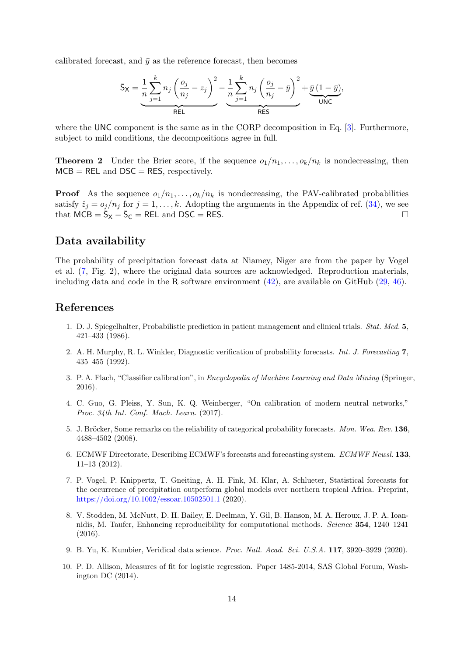calibrated forecast, and  $\bar{y}$  as the reference forecast, then becomes

$$
\bar{S}_X = \underbrace{\frac{1}{n} \sum_{j=1}^k n_j \left( \frac{o_j}{n_j} - z_j \right)^2}_{\text{REL}} - \underbrace{\frac{1}{n} \sum_{j=1}^k n_j \left( \frac{o_j}{n_j} - \bar{y} \right)^2}_{\text{RES}} + \underbrace{\bar{y} (1 - \bar{y})}_{\text{UNC}},
$$

where the UNC component is the same as in the CORP decomposition in Eq. [\[3\]](#page-8-2). Furthermore, subject to mild conditions, the decompositions agree in full.

**Theorem 2** Under the Brier score, if the sequence  $o_1/n_1, \ldots, o_k/n_k$  is nondecreasing, then  $MCB = REL$  and  $DSC = RES$ , respectively.

**Proof** As the sequence  $o_1/n_1, \ldots, o_k/n_k$  is nondecreasing, the PAV-calibrated probabilities satisfy  $\hat{z}_i = o_i/n_i$  for  $j = 1, ..., k$ . Adopting the arguments in the Appendix of ref. [\(34\)](#page-15-2), we see that  $\angle MCB = \overline{S}_X - \overline{S}_C = \angle REL$  and  $\angle DSC = \angle RES$ .

#### Data availability

The probability of precipitation forecast data at Niamey, Niger are from the paper by Vogel et al. [\(7,](#page-13-6) Fig. 2), where the original data sources are acknowledged. Reproduction materials, including data and code in the R software environment [\(42\)](#page-15-10), are available on GitHub [\(29,](#page-14-16) [46\)](#page-15-14).

#### <span id="page-13-0"></span>References

- 1. D. J. Spiegelhalter, Probabilistic prediction in patient management and clinical trials. Stat. Med. 5, 421–433 (1986).
- <span id="page-13-1"></span>2. A. H. Murphy, R. L. Winkler, Diagnostic verification of probability forecasts. Int. J. Forecasting 7, 435–455 (1992).
- <span id="page-13-2"></span>3. P. A. Flach, "Classifier calibration", in Encyclopedia of Machine Learning and Data Mining (Springer, 2016).
- <span id="page-13-3"></span>4. C. Guo, G. Pleiss, Y. Sun, K. Q. Weinberger, "On calibration of modern neutral networks," Proc. 34th Int. Conf. Mach. Learn. (2017).
- <span id="page-13-4"></span>5. J. Bröcker, Some remarks on the reliability of categorical probability forecasts. Mon. Wea. Rev. 136, 4488–4502 (2008).
- <span id="page-13-5"></span>6. ECMWF Directorate, Describing ECMWF's forecasts and forecasting system. ECMWF Newsl. 133, 11–13 (2012).
- <span id="page-13-6"></span>7. P. Vogel, P. Knippertz, T. Gneiting, A. H. Fink, M. Klar, A. Schlueter, Statistical forecasts for the occurrence of precipitation outperform global models over northern tropical Africa. Preprint, <https://doi.org/10.1002/essoar.10502501.1> (2020).
- <span id="page-13-7"></span>8. V. Stodden, M. McNutt, D. H. Bailey, E. Deelman, Y. Gil, B. Hanson, M. A. Heroux, J. P. A. Ioannidis, M. Taufer, Enhancing reproducibility for computational methods. Science 354, 1240–1241 (2016).
- <span id="page-13-8"></span>9. B. Yu, K. Kumbier, Veridical data science. Proc. Natl. Acad. Sci. U.S.A. 117, 3920–3929 (2020).
- <span id="page-13-9"></span>10. P. D. Allison, Measures of fit for logistic regression. Paper 1485-2014, SAS Global Forum, Washington DC (2014).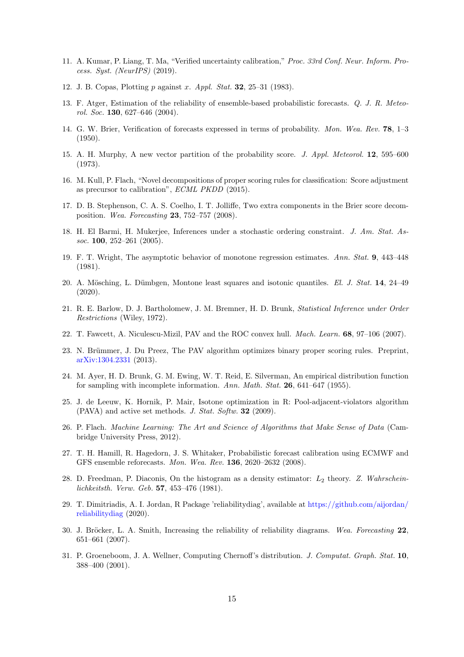- <span id="page-14-0"></span>11. A. Kumar, P. Liang, T. Ma, "Verified uncertainty calibration," Proc. 33rd Conf. Neur. Inform. Process. Syst. (NeurIPS) (2019).
- <span id="page-14-1"></span>12. J. B. Copas, Plotting p against x. Appl. Stat. 32, 25–31 (1983).
- <span id="page-14-2"></span>13. F. Atger, Estimation of the reliability of ensemble-based probabilistic forecasts. Q. J. R. Meteorol. Soc. 130, 627–646 (2004).
- <span id="page-14-3"></span>14. G. W. Brier, Verification of forecasts expressed in terms of probability. Mon. Wea. Rev. 78, 1–3 (1950).
- <span id="page-14-20"></span>15. A. H. Murphy, A new vector partition of the probability score. J. Appl. Meteorol. 12, 595–600 (1973).
- <span id="page-14-4"></span>16. M. Kull, P. Flach, "Novel decompositions of proper scoring rules for classification: Score adjustment as precursor to calibration", ECML PKDD (2015).
- <span id="page-14-5"></span>17. D. B. Stephenson, C. A. S. Coelho, I. T. Jolliffe, Two extra components in the Brier score decomposition. Wea. Forecasting 23, 752–757 (2008).
- <span id="page-14-6"></span>18. H. El Barmi, H. Mukerjee, Inferences under a stochastic ordering constraint. J. Am. Stat. Assoc. 100, 252–261  $(2005)$ .
- <span id="page-14-18"></span>19. F. T. Wright, The asymptotic behavior of monotone regression estimates. Ann. Stat. 9, 443–448 (1981).
- <span id="page-14-7"></span>20. A. Mösching, L. Dümbgen, Montone least squares and isotonic quantiles. El. J. Stat. 14, 24–49 (2020).
- <span id="page-14-8"></span>21. R. E. Barlow, D. J. Bartholomew, J. M. Bremner, H. D. Brunk, Statistical Inference under Order Restrictions (Wiley, 1972).
- <span id="page-14-9"></span>22. T. Fawcett, A. Niculescu-Mizil, PAV and the ROC convex hull. Mach. Learn. 68, 97–106 (2007).
- <span id="page-14-10"></span>23. N. Brümmer, J. Du Preez, The PAV algorithm optimizes binary proper scoring rules. Preprint, <arXiv:1304.2331> (2013).
- <span id="page-14-11"></span>24. M. Ayer, H. D. Brunk, G. M. Ewing, W. T. Reid, E. Silverman, An empirical distribution function for sampling with incomplete information. Ann. Math. Stat. 26, 641–647 (1955).
- <span id="page-14-12"></span>25. J. de Leeuw, K. Hornik, P. Mair, Isotone optimization in R: Pool-adjacent-violators algorithm (PAVA) and active set methods. J. Stat. Softw. 32 (2009).
- <span id="page-14-13"></span>26. P. Flach. Machine Learning: The Art and Science of Algorithms that Make Sense of Data (Cambridge University Press, 2012).
- <span id="page-14-14"></span>27. T. H. Hamill, R. Hagedorn, J. S. Whitaker, Probabilistic forecast calibration using ECMWF and GFS ensemble reforecasts. Mon. Wea. Rev. 136, 2620–2632 (2008).
- <span id="page-14-15"></span>28. D. Freedman, P. Diaconis, On the histogram as a density estimator:  $L_2$  theory. Z. Wahrscheinlichkeitsth. Verw. Geb. 57, 453–476 (1981).
- <span id="page-14-16"></span>29. T. Dimitriadis, A. I. Jordan, R Package 'reliabilitydiag', available at [https://github.com/aijordan/](https://github.com/aijordan/reliabilitydiag) [reliabilitydiag](https://github.com/aijordan/reliabilitydiag) (2020).
- <span id="page-14-17"></span>30. J. Bröcker, L. A. Smith, Increasing the reliability of reliability diagrams. Wea. Forecasting  $22$ , 651–661 (2007).
- <span id="page-14-19"></span>31. P. Groeneboom, J. A. Wellner, Computing Chernoff's distribution. J. Computat. Graph. Stat. 10, 388–400 (2001).